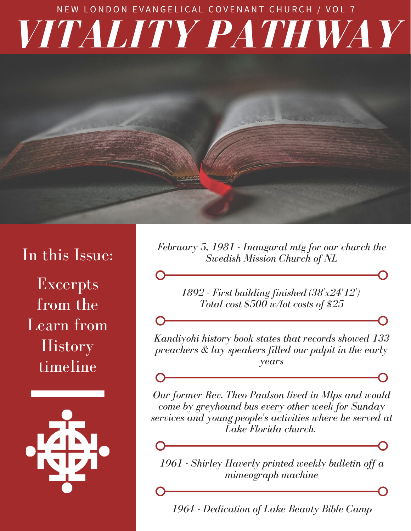## *VITALITY PATHWAY* NEW LONDON EVANGELICAL COVENANT CHURCH / VOL 7

## In this Issue:

Excerpts from the Learn from **History** timeline



*February 5, 1981 - Inaugural mtg for our church the Swedish Mission Church of NL*

> *1892 - First building finished (38'x24'12') Total cost \$500 w/lot costs of \$25*

*Kandiyohi history book states that records showed 133 preachers & lay speakers filled our pulpit in the early years*

*Our former Rev, Theo Paulson lived in Mlps and would come by greyhound bus every other week for Sunday services and young people's activities where he served at Lake Florida church.*

*1961 - Shirley Haverly printed weekly bulletin off a mimeograph machine*

*1964 - Dedication of Lake Beauty Bible Camp*